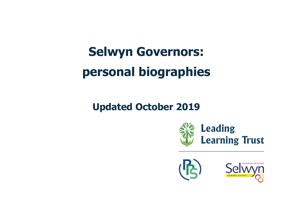## **Selwyn Governors: personal biographies**

## **Updated October 2019**





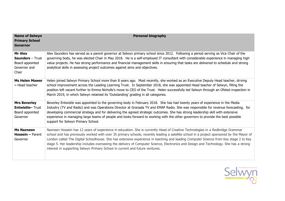| <b>Name of Selwyn</b><br><b>Primary School</b><br><b>Governor</b>              | <b>Personal biography</b>                                                                                                                                                                                                                                                                                                                                                                                                                                                                                                                                                                                                                    |
|--------------------------------------------------------------------------------|----------------------------------------------------------------------------------------------------------------------------------------------------------------------------------------------------------------------------------------------------------------------------------------------------------------------------------------------------------------------------------------------------------------------------------------------------------------------------------------------------------------------------------------------------------------------------------------------------------------------------------------------|
| Mr Alex<br><b>Saunders</b> - Trust<br>Board appointed<br>Governor and<br>Chair | Alex Saunders has served as a parent governor at Selwyn primary school since 2012. Following a period serving as Vice Chair of the<br>governing body, he was elected Chair in May 2018. He is a self-employed IT consultant with considerable experience in managing high<br>value projects. He has strong performance and financial management skills in ensuring that tasks are delivered to schedule and strong<br>analytical skills in assessing project outcomes against aims and objectives.                                                                                                                                           |
| <b>Ms Helen Mawer</b><br>- Head teacher                                        | Helen joined Selwyn Primary School more than 8 years ago. Most recently, she worked as an Executive Deputy Head teacher, driving<br>school improvement across the Leading Learning Trust. In September 2018, she was appointed Head teacher of Selwyn, filling the<br>position left vacant further to Emma Nicholls's move to CEO of the Trust. Helen successfully led Selwyn through an Ofsted inspection in<br>March 2019, in which Selwyn retained its 'Outstanding' grading in all categories.                                                                                                                                           |
| <b>Mrs Beverley</b><br><b>Entwistle-Trust</b><br>Board appointed<br>Governor   | Beverley Entwistle was appointed to the governing body in February 2018. She has had twenty years of experience in the Media<br>Industry (TV and Radio) and was Operations Director at Granada TV and EMAP Radio. She was responsible for revenue forecasting, for<br>developing commercial strategy and for delivering the agreed strategic outcomes. She has strong leadership skill with extensive<br>experience in managing large teams of people and looks forward to working with the other governors to provide the best possible<br>support for Selwyn Primary School.                                                               |
| <b>Ms Nazneen</b><br><b>Hossein - Parent</b><br>Governor                       | Nazneen Hossein has 12 years of experience in education. She is currently Head of Creative Technologies in a Redbridge Grammar<br>school and has previously worked with over 35 primary schools, recently leading a satellite school in a project sponsored by the Mayor of<br>London called The Digital Schoolhouse. She has extensive experience in teaching and leading Computer Science from Key stage 2 to Key<br>stage 5. Her leadership includes overseeing the delivery of Computer Science, Electronics and Design and Technology. She has a strong<br>interest in supporting Selwyn Primary School in current and future ventures. |

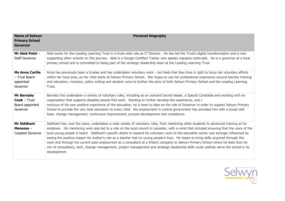| <b>Name of Selwyn</b><br><b>Primary School</b><br><b>Governor</b>  | <b>Personal biography</b>                                                                                                                                                                                                                                                                                                                                                                                                                                                                                                                                                                                                                                                                                                                                                                                                                                                 |
|--------------------------------------------------------------------|---------------------------------------------------------------------------------------------------------------------------------------------------------------------------------------------------------------------------------------------------------------------------------------------------------------------------------------------------------------------------------------------------------------------------------------------------------------------------------------------------------------------------------------------------------------------------------------------------------------------------------------------------------------------------------------------------------------------------------------------------------------------------------------------------------------------------------------------------------------------------|
| Mr Abid Patel -<br><b>Staff Governor</b>                           | Abid works for the Leading Learning Trust in a trust-wide role as IT Director. He has led the Trust's digital transformation and is now<br>supporting other schools on this journey. Abid is a Google Certified Trainer who speaks regularly externally. He is a governor at a local<br>primary school and is committed to being part of the strategic leadership team at the Leading Learning Trust.                                                                                                                                                                                                                                                                                                                                                                                                                                                                     |
| <b>Ms Anna Carlile</b><br>- Trust Board<br>appointed<br>Governor   | Anna has previously been a trustee and has undertaken voluntary work - but feels that they time is right to focus her voluntary efforts<br>within her local area, as her child starts at Selwyn Primary School. She hopes to use her professional experience around teacher training<br>and education, inclusion, policy writing and student voice to further the aims of both Selwyn Primary School and the Leading Learning<br>Trust.                                                                                                                                                                                                                                                                                                                                                                                                                                   |
| <b>Mr Barnaby</b><br>$Cook - Trust$<br>Board appointed<br>Governor | Barnaby has undertaken a variety of voluntary roles, including as an outward bound leader, a Special Constable and working with an<br>organisation that supports disabled people find work. Wanting to further develop this experience, and c<br>onscious of his own positive experience of the education, he is keen to take on the role of Governor in order to support Selwyn Primary<br>School to provide the very best education to every child. His employment in central government has provided him with a broad skill<br>base: change management, continuous improvement, process development and compliance.                                                                                                                                                                                                                                                    |
| <b>Mr Siddhant</b><br>Menezes $-$<br>Coopted Governor              | Siddhant has, over the years, undertaken a wide variety of voluntary roles, from mentoring other students to advanced training at his<br>employer. His mentoring work also led to a role on the local council in Leicester, with a remit that included ensuring that the voice of the<br>local young people is heard. Siddhant's specific desire to expand his voluntary work to the education sector was strongly influenced by<br>seeing the positive impact his mother's role as a teacher had on young people's lives. He hopes to bring skills acquired through this<br>work and through his current paid employment as a consultant at a fintech company to Selwyn Primary School where he feels that his<br>mix of consultancy, tech, change management, project management and strategic leadership skills could usefully serve the school in its<br>development. |

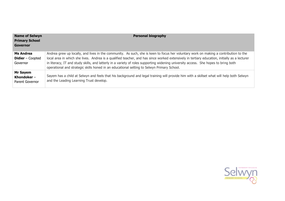| <b>Name of Selwyn</b><br><b>Primary School</b><br>Governor | <b>Personal biography</b>                                                                                                                                                                                                                                                                                                                                                                                                                                                                                                  |
|------------------------------------------------------------|----------------------------------------------------------------------------------------------------------------------------------------------------------------------------------------------------------------------------------------------------------------------------------------------------------------------------------------------------------------------------------------------------------------------------------------------------------------------------------------------------------------------------|
| Ms Andrea<br><b>Didier</b> – Coopted<br>Governor           | Andrea grew up locally, and lives in the community. As such, she is keen to focus her voluntary work on making a contribution to the<br>local area in which she lives. Andrea is a qualified teacher, and has since worked extensively in tertiary education, initially as a lecturer<br>in literacy, IT and study skills, and latterly in a variety of roles supporting widening university access. She hopes to bring both<br>operational and strategic skills honed in an educational setting to Selwyn Primary School. |
| Mr Sayem<br>Khondoker $-$<br>Parent Governor               | Sayem has a child at Selwyn and feels that his background and legal training will provide him with a skillset what will help both Selwyn<br>and the Leading Learning Trust develop.                                                                                                                                                                                                                                                                                                                                        |

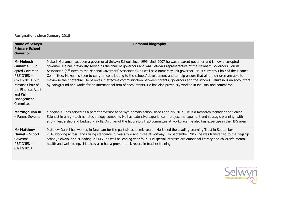**Resignations since January 2018**

| <b>Name of Selwyn</b><br><b>Primary School</b><br><b>Governor</b>                                                                                                               | <b>Personal biography</b>                                                                                                                                                                                                                                                                                                                                                                                                                                                                                                                                                                                                                                                                                                                                                                                          |
|---------------------------------------------------------------------------------------------------------------------------------------------------------------------------------|--------------------------------------------------------------------------------------------------------------------------------------------------------------------------------------------------------------------------------------------------------------------------------------------------------------------------------------------------------------------------------------------------------------------------------------------------------------------------------------------------------------------------------------------------------------------------------------------------------------------------------------------------------------------------------------------------------------------------------------------------------------------------------------------------------------------|
| <b>Mr Mukesh</b><br><b>Gunamel</b> $-$ Co-<br>opted Governor -<br>RESIGNED-<br>05/11/2018, but<br>remains Chair of<br>the Finance, Audit<br>and Risk<br>Management<br>Committee | Mukesh Gunamal has been a governor at Selwyn School since 1996. Until 2007 he was a parent governor and is now a co-opted<br>governor. He has previously served as the chair of governors and was Selwyn's representative at the Newham Governors' Forum<br>Association (affiliated to the National Governors' Association), as well as a numeracy link governor. He is currently Chair of the Finance<br>Committee. Mukesh is keen to carry on contributing to the schools' development and to help ensure that all the children are able to<br>maximise their potential. He believes in effective communication between parents, governors and the schools. Mukesh is an accountant<br>by background and works for an international firm of accountants. He has also previously worked in industry and commerce. |
| Mr Yingquian Xu<br>- Parent Governor                                                                                                                                            | Yingqian Xu has served as a parent governor at Selwyn primary school since February 2014. He is a Research Manager and Senior<br>Scientist in a high-tech nanotechnology company. He has extensive experience in project management and strategic planning, with<br>strong leadership and budgeting skills. As chair of the laboratory H&S committee at workplace, he also has expertise in the H&S area.                                                                                                                                                                                                                                                                                                                                                                                                          |
| <b>Mr Matthew</b><br><b>Daniel</b> - School<br>Governor $-$<br>$RESIGNED -$<br>03/12/2018                                                                                       | Matthew Daniel has worked in Newham for the past six academic years. He joined the Leading Learning Trust in September<br>2016 working across, and raising standards in, years two and three at Portway. In September 2017, he was transferred to the flagship<br>school, Selwyn, and is leading in SMSC as well as leading year four. His special interests are emotional literacy and children's mental<br>health and well- being. Matthew also has a proven track record in teacher training.                                                                                                                                                                                                                                                                                                                   |